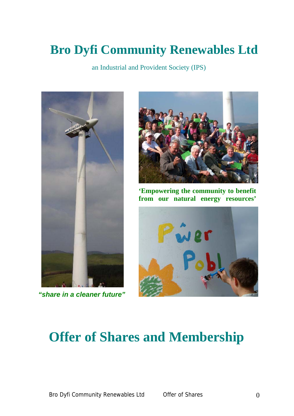# **Bro Dyfi Community Renewables Ltd**

an Industrial and Provident Society (IPS)



*"share in a cleaner future"*



**'Empowering the community to benefit from our natural energy resources'**



# **Offer of Shares and Membership**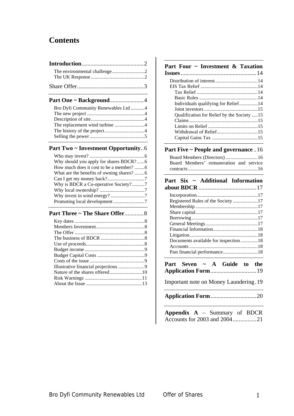# **Contents**

| The environmental challenge2              |  |
|-------------------------------------------|--|
|                                           |  |
| Part One ~ Background4                    |  |
| Bro Dyfi Community Renewables Ltd 4       |  |
|                                           |  |
|                                           |  |
| The replacement wind turbine 4            |  |
|                                           |  |
|                                           |  |
| <b>Part Two ~ Investment Opportunity6</b> |  |
|                                           |  |
| Why should you apply for shares BDCR?6    |  |
|                                           |  |
| What are the benefits of owning shares? 6 |  |
|                                           |  |
| Why is BDCR a Co-operative Society?7      |  |
|                                           |  |

#### **[Part Three ~ The Share Offer](#page-8-0)**.............8 Key dates [........................................................8](#page-8-0)

[Why invest in wind energy?](#page-7-0) ...........................7 [Promoting local development](#page-7-0) .........................7

#### **[Part Four ~ Investment & Taxation](#page-14-0)**

| Individuals qualifying for Relief14        |  |
|--------------------------------------------|--|
|                                            |  |
| Qualification for Relief by the Society 15 |  |
|                                            |  |
|                                            |  |
|                                            |  |
|                                            |  |

# **[Part Five ~ People and governance](#page-16-0)** ..16

|  | Board Members' remuneration and service |  |  |
|--|-----------------------------------------|--|--|
|  |                                         |  |  |

| Part Six ~ Additional Information    |
|--------------------------------------|
|                                      |
|                                      |
| Registered Rules of the Society17    |
|                                      |
|                                      |
|                                      |
|                                      |
|                                      |
|                                      |
| Documents available for inspection18 |
|                                      |
|                                      |

**[Part Seven ~ A Guide to the](#page-19-0)  Application Form**[...............................19](#page-19-0) 

[Important note on Money Laundering.19](#page-19-0) 

**Application Form**[...............................20](#page-20-0) 

| <b>Appendix A</b> – Summary of BDCR |  |  |
|-------------------------------------|--|--|
|                                     |  |  |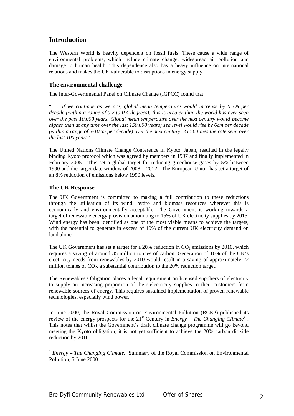# <span id="page-2-0"></span>**Introduction**

The Western World is heavily dependent on fossil fuels. These cause a wide range of environmental problems, which include climate change, widespread air pollution and damage to human health. This dependence also has a heavy influence on international relations and makes the UK vulnerable to disruptions in energy supply.

## **The environmental challenge**

The Inter-Governmental Panel on Climate Change (IGPCC) found that:

"….. *if we continue as we are, global mean temperature would increase by 0.3% per decade (within a range of 0.2 to 0.4 degrees); this is greater than the world has ever seen over the past 10,000 years. Global mean temperature over the next century would become higher than at any time over the last 150,000 years; sea level would rise by 6cm per decade (within a range of 3-10cm per decade) over the next century, 3 to 6 times the rate seen over the last 100 years*".

The United Nations Climate Change Conference in Kyoto, Japan, resulted in the legally binding Kyoto protocol which was agreed by members in 1997 and finally implemented in February 2005. This set a global target for reducing greenhouse gases by 5% between 1990 and the target date window of 2008 – 2012. The European Union has set a target of an 8% reduction of emissions below 1990 levels.

## **The UK Response**

The UK Government is committed to making a full contribution to these reductions through the utilisation of its wind, hydro and biomass resources wherever this is economically and environmentally acceptable. The Government is working towards a target of renewable energy provision amounting to 15% of UK electricity supplies by 2015. Wind energy has been identified as one of the most viable means to achieve the targets, with the potential to generate in excess of 10% of the current UK electricity demand on land alone.

The UK Government has set a target for a  $20\%$  reduction in  $CO<sub>2</sub>$  emissions by 2010, which requires a saving of around 35 million tonnes of carbon. Generation of 10% of the UK's electricity needs from renewables by 2010 would result in a saving of approximately 22 million tonnes of  $CO<sub>2</sub>$ , a substantial contribution to the 20% reduction target.

The Renewables Obligation places a legal requirement on licensed suppliers of electricity to supply an increasing proportion of their electricity supplies to their customers from renewable sources of energy. This requires sustained implementation of proven renewable technologies, especially wind power.

In June 2000, the Royal Commission on Environmental Pollution (RCEP) published its review of the energy prospects for the  $21<sup>st</sup>$  $21<sup>st</sup>$  $21<sup>st</sup>$  Century in *Energy – The Changing Climate<sup>1</sup>*. This notes that whilst the Government's draft climate change programme will go beyond meeting the Kyoto obligation, it is not yet sufficient to achieve the 20% carbon dioxide reduction by 2010.

<span id="page-2-1"></span><sup>&</sup>lt;sup>1</sup> *Energy – The Changing Climate.* Summary of the Royal Commission on Environmental Pollution, 5 June 2000.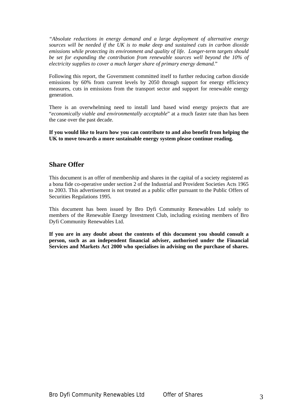<span id="page-3-0"></span>*"Absolute reductions in energy demand and a large deployment of alternative energy sources will be needed if the UK is to make deep and sustained cuts in carbon dioxide emissions while protecting its environment and quality of life. Longer-term targets should be set for expanding the contribution from renewable sources well beyond the 10% of electricity supplies to cover a much larger share of primary energy demand.*"

Following this report, the Government committed itself to further reducing carbon dioxide emissions by 60% from current levels by 2050 through support for energy efficiency measures, cuts in emissions from the transport sector and support for renewable energy generation.

There is an overwhelming need to install land based wind energy projects that are "*economically viable and environmentally acceptable*" at a much faster rate than has been the case over the past decade.

**If you would like to learn how you can contribute to and also benefit from helping the UK to move towards a more sustainable energy system please continue reading.** 

# **Share Offer**

This document is an offer of membership and shares in the capital of a society registered as a bona fide co-operative under section 2 of the Industrial and Provident Societies Acts 1965 to 2003. This advertisement is not treated as a public offer pursuant to the Public Offers of Securities Regulations 1995.

This document has been issued by Bro Dyfi Community Renewables Ltd solely to members of the Renewable Energy Investment Club, including existing members of Bro Dyfi Community Renewables Ltd.

**If you are in any doubt about the contents of this document you should consult a person, such as an independent financial adviser, authorised under the Financial Services and Markets Act 2000 who specialises in advising on the purchase of shares.**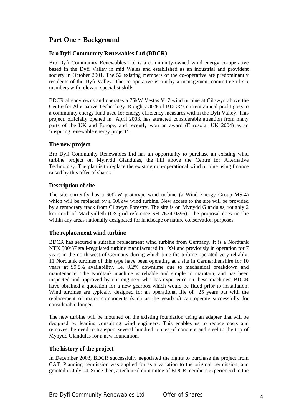# <span id="page-4-0"></span>**Part One ~ Background**

## **Bro Dyfi Community Renewables Ltd (BDCR)**

Bro Dyfi Community Renewables Ltd is a community-owned wind energy co-operative based in the Dyfi Valley in mid Wales and established as an industrial and provident society in October 2001. The 52 existing members of the co-operative are predominantly residents of the Dyfi Valley. The co-operative is run by a management committee of six members with relevant specialist skills.

BDCR already owns and operates a 75kW Vestas V17 wind turbine at Cilgwyn above the Centre for Alternative Technology. Roughly 30% of BDCR's current annual profit goes to a community energy fund used for energy efficiency measures within the Dyfi Valley. This project, officially opened in April 2003, has attracted considerable attention from many parts of the UK and Europe, and recently won an award (Eurosolar UK 2004) as an 'inspiring renewable energy project'.

#### **The new project**

Bro Dyfi Community Renewables Ltd has an opportunity to purchase an existing wind turbine project on Mynydd Glandulas, the hill above the Centre for Alternative Technology. The plan is to replace the existing non-operational wind turbine using finance raised by this offer of shares.

## **Description of site**

The site currently has a 600kW prototype wind turbine (a Wind Energy Group MS-4) which will be replaced by a 500kW wind turbine. New access to the site will be provided by a temporary track from Cilgwyn Forestry. The site is on Mynydd Glandulas, roughly 2 km north of Machynlleth (OS grid reference SH 7634 0395). The proposal does not lie within any areas nationally designated for landscape or nature conservation purposes.

## **The replacement wind turbine**

BDCR has secured a suitable replacement wind turbine from Germany. It is a Nordtank NTK 500/37 stall-regulated turbine manufactured in 1994 and previously in operation for 7 years in the north-west of Germany during which time the turbine operated very reliably. 11 Nordtank turbines of this type have been operating at a site in Carmarthenshire for 10 years at 99.8% availability, i.e. 0.2% downtime due to mechanical breakdown and maintenance. The Nordtank machine is reliable and simple to maintain, and has been inspected and approved by our engineer who has experience on these machines. BDCR have obtained a quotation for a new gearbox which would be fitted prior to installation. Wind turbines are typically designed for an operational life of 25 years but with the replacement of major components (such as the gearbox) can operate successfully for considerable longer.

The new turbine will be mounted on the existing foundation using an adapter that will be designed by leading consulting wind engineers. This enables us to reduce costs and removes the need to transport several hundred tonnes of concrete and steel to the top of Mynydd Glandulas for a new foundation.

## **The history of the project**

In December 2003, BDCR successfully negotiated the rights to purchase the project from CAT. Planning permission was applied for as a variation to the original permission, and granted in July 04. Since then, a technical committee of BDCR members experienced in the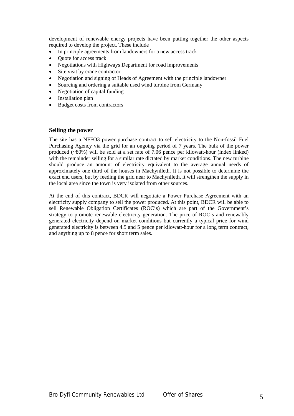<span id="page-5-0"></span>development of renewable energy projects have been putting together the other aspects required to develop the project. These include

- In principle agreements from landowners for a new access track
- Quote for access track
- Negotiations with Highways Department for road improvements
- Site visit by crane contractor
- Negotiation and signing of Heads of Agreement with the principle landowner
- Sourcing and ordering a suitable used wind turbine from Germany
- Negotiation of capital funding
- Installation plan
- Budget costs from contractors

#### **Selling the power**

The site has a NFFO3 power purchase contract to sell electricity to the Non-fossil Fuel Purchasing Agency via the grid for an ongoing period of 7 years. The bulk of the power produced  $(-80%)$  will be sold at a set rate of 7.06 pence per kilowatt-hour (index linked) with the remainder selling for a similar rate dictated by market conditions. The new turbine should produce an amount of electricity equivalent to the average annual needs of approximately one third of the houses in Machynlleth. It is not possible to determine the exact end users, but by feeding the grid near to Machynlleth, it will strengthen the supply in the local area since the town is very isolated from other sources.

At the end of this contract, BDCR will negotiate a Power Purchase Agreement with an electricity supply company to sell the power produced. At this point, BDCR will be able to sell Renewable Obligation Certificates (ROC's) which are part of the Government's strategy to promote renewable electricity generation. The price of ROC's and renewably generated electricity depend on market conditions but currently a typical price for wind generated electricity is between 4.5 and 5 pence per kilowatt-hour for a long term contract, and anything up to 8 pence for short term sales.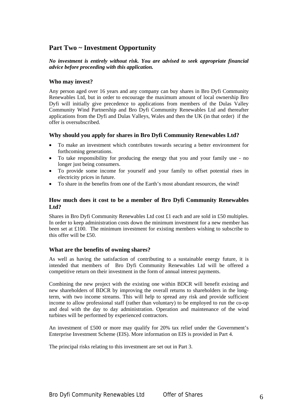# <span id="page-6-0"></span>**Part Two ~ Investment Opportunity**

## *No investment is entirely without risk. You are advised to seek appropriate financial advice before proceeding with this application.*

## **Who may invest?**

Any person aged over 16 years and any company can buy shares in Bro Dyfi Community Renewables Ltd, but in order to encourage the maximum amount of local ownership Bro Dyfi will initially give precedence to applications from members of the Dulas Valley Community Wind Partnership and Bro Dyfi Community Renewables Ltd and thereafter applications from the Dyfi and Dulas Valleys, Wales and then the UK (in that order) if the offer is oversubscribed.

## **Why should you apply for shares in Bro Dyfi Community Renewables Ltd?**

- To make an investment which contributes towards securing a better environment for forthcoming generations.
- To take responsibility for producing the energy that you and your family use no longer just being consumers.
- To provide some income for yourself and your family to offset potential rises in electricity prices in future.
- To share in the benefits from one of the Earth's most abundant resources, the wind!

## **How much does it cost to be a member of Bro Dyfi Community Renewables Ltd?**

Shares in Bro Dyfi Community Renewables Ltd cost £1 each and are sold in £50 multiples. In order to keep administration costs down the minimum investment for a new member has been set at £100. The minimum investment for existing members wishing to subscribe to this offer will be £50.

## **What are the benefits of owning shares?**

As well as having the satisfaction of contributing to a sustainable energy future, it is intended that members of Bro Dyfi Community Renewables Ltd will be offered a competitive return on their investment in the form of annual interest payments.

Combining the new project with the existing one within BDCR will benefit existing and new shareholders of BDCR by improving the overall returns to shareholders in the longterm, with two income streams. This will help to spread any risk and provide sufficient income to allow professional staff (rather than voluntary) to be employed to run the co-op and deal with the day to day administration. Operation and maintenance of the wind turbines will be performed by experienced contractors.

An investment of £500 or more may qualify for 20% tax relief under the Government's Enterprise Investment Scheme (EIS). More information on EIS is provided in Part 4.

The principal risks relating to this investment are set out in Part 3.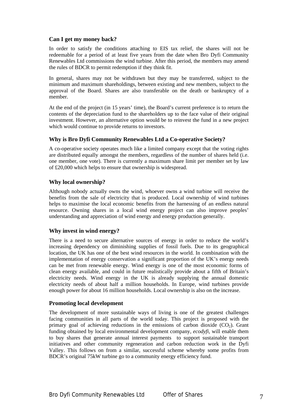## <span id="page-7-0"></span>**Can I get my money back?**

In order to satisfy the conditions attaching to EIS tax relief, the shares will not be redeemable for a period of at least five years from the date when Bro Dyfi Community Renewables Ltd commissions the wind turbine. After this period, the members may amend the rules of BDCR to permit redemption if they think fit.

In general, shares may not be withdrawn but they may be transferred, subject to the minimum and maximum shareholdings, between existing and new members, subject to the approval of the Board. Shares are also transferable on the death or bankruptcy of a member.

At the end of the project (in 15 years' time), the Board's current preference is to return the contents of the depreciation fund to the shareholders up to the face value of their original investment. However, an alternative option would be to reinvest the fund in a new project which would continue to provide returns to investors.

## **Why is Bro Dyfi Community Renewables Ltd a Co-operative Society?**

A co-operative society operates much like a limited company except that the voting rights are distributed equally amongst the members, regardless of the number of shares held (i.e. one member, one vote). There is currently a maximum share limit per member set by law of £20,000 which helps to ensure that ownership is widespread.

## **Why local ownership?**

Although nobody actually owns the wind, whoever owns a wind turbine will receive the benefits from the sale of electricity that is produced. Local ownership of wind turbines helps to maximise the local economic benefits from the harnessing of an endless natural resource. Owning shares in a local wind energy project can also improve peoples' understanding and appreciation of wind energy and energy production generally.

## **Why invest in wind energy?**

There is a need to secure alternative sources of energy in order to reduce the world's increasing dependency on diminishing supplies of fossil fuels. Due to its geographical location, the UK has one of the best wind resources in the world. In combination with the implementation of energy conservation a significant proportion of the UK's energy needs can be met from renewable energy. Wind energy is one of the most economic forms of clean energy available, and could in future realistically provide about a fifth of Britain's electricity needs. Wind energy in the UK is already supplying the annual domestic electricity needs of about half a million households. In Europe, wind turbines provide enough power for about 16 million households. Local ownership is also on the increase.

#### **Promoting local development**

The development of more sustainable ways of living is one of the greatest challenges facing communities in all parts of the world today. This project is proposed with the primary goal of achieving reductions in the emissions of carbon dioxide  $(CO<sub>2</sub>)$ . Grant funding obtained by local environmental development company, *ecodyfi*, will enable them to buy shares that generate annual interest payments to support sustainable transport initiatives and other community regeneration and carbon reduction work in the Dyfi Valley. This follows on from a similar, successful scheme whereby some profits from BDCR's original 75kW turbine go to a community energy efficiency fund.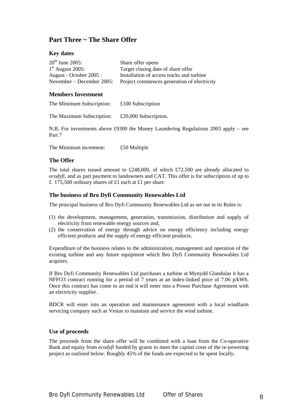# <span id="page-8-0"></span>**Part Three ~ The Share Offer**

## **Key dates**

| $20^{th}$ June 2005:      | Share offer opens                           |
|---------------------------|---------------------------------------------|
| $1st$ August 2005:        | Target closing date of share offer          |
| August - October 2005 :   | Installation of access tracks and turbine   |
| November – December 2005: | Project commences generation of electricity |

## **Members Investment**

| The Minimum Subscription: | £100 Subscription |
|---------------------------|-------------------|
|---------------------------|-------------------|

The Maximum Subscription: £20,000 Subscription.

N.B. For investments above £9300 the Money Laundering Regulations 2003 apply – see Part 7

The Minimum increment: £50 Multiple

## **The Offer**

The total shares issued amount to £248,000, of which £72,500 are already allocated to *ecodyfi,* and as part payment to landowners and CAT. This offer is for subscription of up to £ 175,500 ordinary shares of £1 each at £1 per share.

## **The business of Bro Dyfi Community Renewables Ltd**

The principal business of Bro Dyfi Community Renewables Ltd as set out in its Rules is:

- (1) the development, management, generation, transmission, distribution and supply of electricity from renewable energy sources and,
- (2) the conservation of energy through advice on energy efficiency including energy efficient products and the supply of energy efficient products.

Expenditure of the business relates to the administration, management and operation of the existing turbine and any future equipment which Bro Dyfi Community Renewables Ltd acquires.

If Bro Dyfi Community Renewables Ltd purchases a turbine at Mynydd Glandulas it has a NFFO3 contract running for a period of 7 years at an index-linked price of 7.06 p/kWh. Once this contract has come to an end it will enter into a Power Purchase Agreement with an electricity supplier.

BDCR will enter into an operation and maintenance agreement with a local windfarm servicing company such as Vestas to maintain and service the wind turbine.

#### **Use of proceeds**

The proceeds from the share offer will be combined with a loan from the Co-operative Bank and equity from *ecodyfi* funded by grants to meet the capital costs of the re-powering project as outlined below. Roughly 45% of the funds are expected to be spent locally.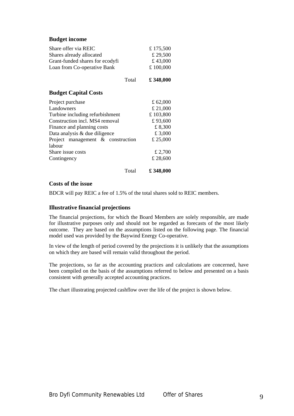#### <span id="page-9-0"></span>**Budget income**

| Share offer via REIC<br>Shares already allocated<br>Grant-funded shares for ecodyfi<br>Loan from Co-operative Bank | £175,500<br>£ 29,500<br>£43,000<br>£100,000 |
|--------------------------------------------------------------------------------------------------------------------|---------------------------------------------|
| Total                                                                                                              | £348,000                                    |
| <b>Budget Capital Costs</b>                                                                                        |                                             |
| Project purchase                                                                                                   | £ $62,000$                                  |
| Landowners                                                                                                         | £ 21,000                                    |
| Turbine including refurbishment                                                                                    | £103,800                                    |
| Construction incl. MS4 removal                                                                                     | £93,600                                     |
| Finance and planning costs                                                                                         | £8,300                                      |
| Data analysis & due diligence                                                                                      | £ 3,000                                     |
| Project management & construction                                                                                  | £ 25,000                                    |
| labour                                                                                                             |                                             |
| Share issue costs                                                                                                  | £ 2,700                                     |
| Contingency                                                                                                        | £ 28,600                                    |
|                                                                                                                    |                                             |

Total **£ 348,000**

## **Costs of the issue**

BDCR will pay REIC a fee of 1.5% of the total shares sold to REIC members.

#### **Illustrative financial projections**

The financial projections, for which the Board Members are solely responsible, are made for illustrative purposes only and should not be regarded as forecasts of the most likely outcome. They are based on the assumptions listed on the following page. The financial model used was provided by the Baywind Energy Co-operative.

In view of the length of period covered by the projections it is unlikely that the assumptions on which they are based will remain valid throughout the period.

The projections, so far as the accounting practices and calculations are concerned, have been compiled on the basis of the assumptions referred to below and presented on a basis consistent with generally accepted accounting practices.

The chart illustrating projected cashflow over the life of the project is shown below.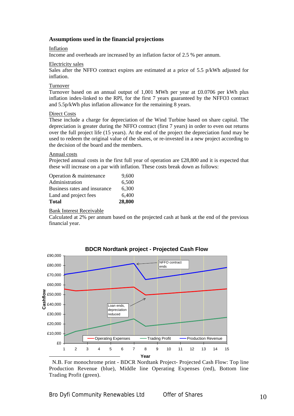## **Assumptions used in the financial projections**

#### Inflation

Income and overheads are increased by an inflation factor of 2.5 % per annum.

#### Electricity sales

Sales after the NFFO contract expires are estimated at a price of 5.5  $p/kWh$  adjusted for inflation.

#### Turnover

Turnover based on an annual output of 1,001 MWh per year at £0.0706 per kWh plus inflation index-linked to the RPI, for the first 7 years guaranteed by the NFFO3 contract and 5.5p/kWh plus inflation allowance for the remaining 8 years.

#### Direct Costs

These include a charge for depreciation of the Wind Turbine based on share capital. The depreciation is greater during the NFFO contract (first 7 years) in order to even out returns over the full project life (15 years). At the end of the project the depreciation fund may be used to redeem the original value of the shares, or re-invested in a new project according to the decision of the board and the members.

#### Annual costs

Projected annual costs in the first full year of operation are £28,800 and it is expected that these will increase on a par with inflation. These costs break down as follows:

| Total                        | 28,800 |
|------------------------------|--------|
| Land and project fees        | 6,400  |
| Business rates and insurance | 6,300  |
| Administration               | 6,500  |
| Operation & maintenance      | 9.600  |

#### Bank Interest Receivable

Calculated at 2% per annum based on the projected cash at bank at the end of the previous financial year.



**BDCR Nordtank project - Projected Cash Flow**

<span id="page-10-0"></span> <sup>2</sup> N.B. For monochrome print - BDCR Nordtank Project- Projected Cash Flow: Top line Production Revenue (blue), Middle line Operating Expenses (red), Bottom line Trading Profit (green).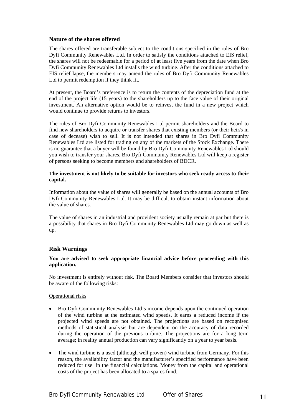#### <span id="page-11-0"></span>**Nature of the shares offered**

The shares offered are transferable subject to the conditions specified in the rules of Bro Dyfi Community Renewables Ltd. In order to satisfy the conditions attached to EIS relief, the shares will not be redeemable for a period of at least five years from the date when Bro Dyfi Community Renewables Ltd installs the wind turbine. After the conditions attached to EIS relief lapse, the members may amend the rules of Bro Dyfi Community Renewables Ltd to permit redemption if they think fit.

At present, the Board's preference is to return the contents of the depreciation fund at the end of the project life  $(15 \text{ years})$  to the shareholders up to the face value of their original investment. An alternative option would be to reinvest the fund in a new project which would continue to provide returns to investors.

The rules of Bro Dyfi Community Renewables Ltd permit shareholders and the Board to find new shareholders to acquire or transfer shares that existing members (or their heir/s in case of decease) wish to sell. It is not intended that shares in Bro Dyfi Community Renewables Ltd are listed for trading on any of the markets of the Stock Exchange. There is no guarantee that a buyer will be found by Bro Dyfi Community Renewables Ltd should you wish to transfer your shares. Bro Dyfi Community Renewables Ltd will keep a register of persons seeking to become members and shareholders of BDCR.

#### **The investment is not likely to be suitable for investors who seek ready access to their capital.**

Information about the value of shares will generally be based on the annual accounts of Bro Dyfi Community Renewables Ltd. It may be difficult to obtain instant information about the value of shares.

The value of shares in an industrial and provident society usually remain at par but there is a possibility that shares in Bro Dyfi Community Renewables Ltd may go down as well as up.

## **Risk Warnings**

## **You are advised to seek appropriate financial advice before proceeding with this application.**

No investment is entirely without risk. The Board Members consider that investors should be aware of the following risks:

#### Operational risks

- Bro Dyfi Community Renewables Ltd's income depends upon the continued operation of the wind turbine at the estimated wind speeds. It earns a reduced income if the projected wind speeds are not obtained. The projections are based on recognised methods of statistical analysis but are dependent on the accuracy of data recorded during the operation of the previous turbine. The projections are for a long term average; in reality annual production can vary significantly on a year to year basis.
- The wind turbine is a used (although well proven) wind turbine from Germany. For this reason, the availability factor and the manufacturer's specified performance have been reduced for use in the financial calculations. Money from the capital and operational costs of the project has been allocated to a spares fund.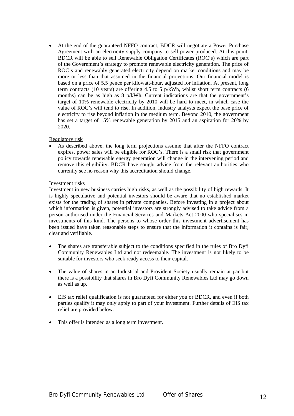• At the end of the guaranteed NFFO contract, BDCR will negotiate a Power Purchase Agreement with an electricity supply company to sell power produced. At this point, BDCR will be able to sell Renewable Obligation Certificates (ROC's) which are part of the Government's strategy to promote renewable electricity generation. The price of ROC's and renewably generated electricity depend on market conditions and may be more or less than that assumed in the financial projections. Our financial model is based on a price of 5.5 pence per kilowatt-hour, adjusted for inflation. At present, long term contracts (10 years) are offering 4.5 to 5 p/kWh, whilst short term contracts (6 months) can be as high as 8 p/kWh. Current indications are that the government's target of 10% renewable electricity by 2010 will be hard to meet, in which case the value of ROC's will tend to rise. In addition, industry analysts expect the base price of electricity to rise beyond inflation in the medium term. Beyond 2010, the government has set a target of 15% renewable generation by 2015 and an aspiration for 20% by 2020.

#### Regulatory risk

• As described above, the long term projections assume that after the NFFO contract expires, power sales will be eligible for ROC's. There is a small risk that government policy towards renewable energy generation will change in the intervening period and remove this eligibility. BDCR have sought advice from the relevant authorities who currently see no reason why this accreditation should change.

## Investment risks

Investment in new business carries high risks, as well as the possibility of high rewards. It is highly speculative and potential investors should be aware that no established market exists for the trading of shares in private companies. Before investing in a project about which information is given, potential investors are strongly advised to take advice from a person authorised under the Financial Services and Markets Act 2000 who specialises in investments of this kind. The persons to whose order this investment advertisement has been issued have taken reasonable steps to ensure that the information it contains is fair, clear and verifiable.

- The shares are transferable subject to the conditions specified in the rules of Bro Dyfi Community Renewables Ltd and not redeemable. The investment is not likely to be suitable for investors who seek ready access to their capital.
- The value of shares in an Industrial and Provident Society usually remain at par but there is a possibility that shares in Bro Dyfi Community Renewables Ltd may go down as well as up.
- EIS tax relief qualification is not guaranteed for either you or BDCR, and even if both parties qualify it may only apply to part of your investment. Further details of EIS tax relief are provided below.
- This offer is intended as a long term investment.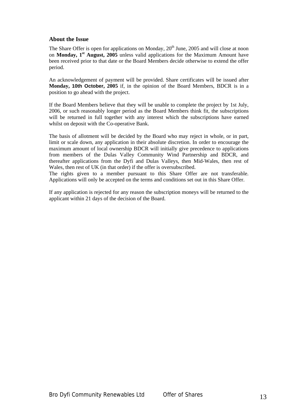## <span id="page-13-0"></span>**About the Issue**

The Share Offer is open for applications on Monday,  $20<sup>th</sup>$  June, 2005 and will close at noon on **Monday, 1st August, 2005** unless valid applications for the Maximum Amount have been received prior to that date or the Board Members decide otherwise to extend the offer period.

An acknowledgement of payment will be provided. Share certificates will be issued after **Monday, 10th October, 2005** if, in the opinion of the Board Members, BDCR is in a position to go ahead with the project.

If the Board Members believe that they will be unable to complete the project by 1st July, 2006, or such reasonably longer period as the Board Members think fit, the subscriptions will be returned in full together with any interest which the subscriptions have earned whilst on deposit with the Co-operative Bank.

The basis of allotment will be decided by the Board who may reject in whole, or in part, limit or scale down, any application in their absolute discretion. In order to encourage the maximum amount of local ownership BDCR will initially give precedence to applications from members of the Dulas Valley Community Wind Partnership and BDCR, and thereafter applications from the Dyfi and Dulas Valleys, then Mid-Wales, then rest of Wales, then rest of UK (in that order) if the offer is oversubscribed.

The rights given to a member pursuant to this Share Offer are not transferable. Applications will only be accepted on the terms and conditions set out in this Share Offer.

If any application is rejected for any reason the subscription moneys will be returned to the applicant within 21 days of the decision of the Board.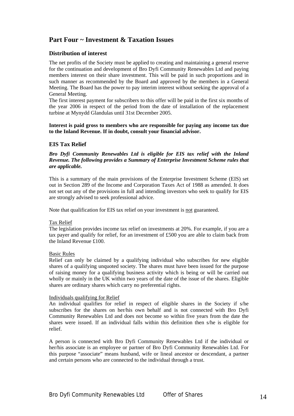# <span id="page-14-0"></span>**Part Four ~ Investment & Taxation Issues**

## **Distribution of interest**

The net profits of the Society must be applied to creating and maintaining a general reserve for the continuation and development of Bro Dyfi Community Renewables Ltd and paying members interest on their share investment. This will be paid in such proportions and in such manner as recommended by the Board and approved by the members in a General Meeting. The Board has the power to pay interim interest without seeking the approval of a General Meeting.

The first interest payment for subscribers to this offer will be paid in the first six months of the year 2006 in respect of the period from the date of installation of the replacement turbine at Mynydd Glandulas until 31st December 2005.

**Interest is paid gross to members who are responsible for paying any income tax due to the Inland Revenue. If in doubt, consult your financial advisor.** 

## **EIS Tax Relief**

*Bro Dyfi Community Renewables Ltd is eligible for EIS tax relief with the Inland Revenue. The following provides a Summary of Enterprise Investment Scheme rules that are applicable.* 

This is a summary of the main provisions of the Enterprise Investment Scheme (EIS) set out in Section 289 of the Income and Corporation Taxes Act of 1988 as amended. It does not set out any of the provisions in full and intending investors who seek to qualify for EIS are strongly advised to seek professional advice.

Note that qualification for EIS tax relief on your investment is not guaranteed.

#### Tax Relief

The legislation provides income tax relief on investments at 20%. For example, if you are a tax payer and qualify for relief, for an investment of £500 you are able to claim back from the Inland Revenue £100.

#### Basic Rules

Relief can only be claimed by a qualifying individual who subscribes for new eligible shares of a qualifying unquoted society. The shares must have been issued for the purpose of raising money for a qualifying business activity which is being or will be carried out wholly or mainly in the UK within two years of the date of the issue of the shares. Eligible shares are ordinary shares which carry no preferential rights.

#### Individuals qualifying for Relief

An individual qualifies for relief in respect of eligible shares in the Society if s/he subscribes for the shares on her/his own behalf and is not connected with Bro Dyfi Community Renewables Ltd and does not become so within five years from the date the shares were issued. If an individual falls within this definition then s/he is eligible for relief.

A person is connected with Bro Dyfi Community Renewables Ltd if the individual or her/his associate is an employee or partner of Bro Dyfi Community Renewables Ltd. For this purpose "associate" means husband, wife or lineal ancestor or descendant, a partner and certain persons who are connected to the individual through a trust.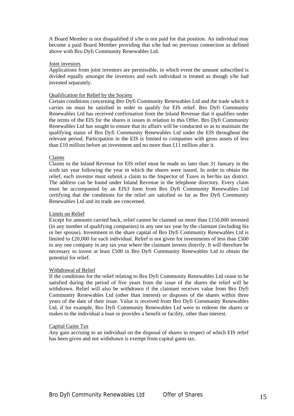<span id="page-15-0"></span>A Board Member is not disqualified if s/he is not paid for that position. An individual may become a paid Board Member providing that s/he had no previous connection as defined above with Bro Dyfi Community Renewables Ltd.

#### Joint investors

Applications from joint investors are permissible, in which event the amount subscribed is divided equally amongst the investors and each individual is treated as though s/he had invested separately.

#### Qualification for Relief by the Society

Certain conditions concerning Bro Dyfi Community Renewables Ltd and the trade which it carries on must be satisfied in order to qualify for EIS relief. Bro Dyfi Community Renewables Ltd has received confirmation from the Inland Revenue that it qualifies under the terms of the EIS for the shares it issues in relation to this Offer. Bro Dyfi Community Renewables Ltd has sought to ensure that its affairs will be conducted so as to maintain the qualifying status of Bro Dyfi Community Renewables Ltd under the EIS throughout the relevant period. Participation in the EIS is limited to companies with gross assets of less than £10 million before an investment and no more than £11 million after it.

#### Claims

Claims to the Inland Revenue for EIS relief must be made no later than 31 January in the sixth tax year following the year in which the shares were issued. In order to obtain the relief, each investor must submit a claim to the Inspector of Taxes in her/his tax district. The address can be found under Inland Revenue in the telephone directory. Every claim must be accompanied by an EIS3 form from Bro Dyfi Community Renewables Ltd certifying that the conditions for the relief are satisfied so far as Bro Dyfi Community Renewables Ltd and its trade are concerned.

#### Limits on Relief

Except for amounts carried back, relief cannot be claimed on more than £150,000 invested (in any number of qualifying companies) in any one tax year by the claimant (including his or her spouse). Investment in the share capital of Bro Dyfi Community Renewables Ltd is limited to £20,000 for each individual. Relief is not given for investments of less than £500 in any one company in any tax year where the claimant invests directly. It will therefore be necessary to invest at least £500 in Bro Dyfi Community Renewables Ltd to obtain the potential for relief.

#### Withdrawal of Relief

If the conditions for the relief relating to Bro Dyfi Community Renewables Ltd cease to be satisfied during the period of five years from the issue of the shares the relief will be withdrawn. Relief will also be withdrawn if the claimant receives value from Bro Dyfi Community Renewables Ltd (other than interest) or disposes of the shares within three years of the date of their issue. Value is received from Bro Dyfi Community Renewables Ltd, if for example, Bro Dyfi Community Renewables Ltd were to redeem the shares or makes to the individual a loan or provides a benefit or facility, other than interest.

#### Capital Gains Tax

Any gain accruing to an individual on the disposal of shares in respect of which EIS relief has been given and not withdrawn is exempt from capital gains tax.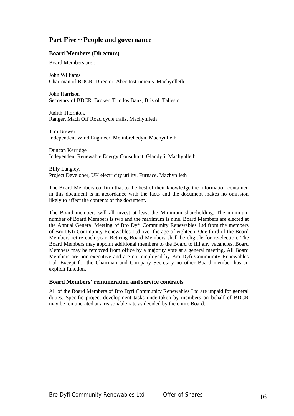# <span id="page-16-0"></span>**Part Five ~ People and governance**

## **Board Members (Directors)**

Board Members are :

John Williams Chairman of BDCR. Director, Aber Instruments. Machynlleth

John Harrison Secretary of BDCR. Broker, Triodos Bank, Bristol. Taliesin.

Judith Thornton. Ranger, Mach Off Road cycle trails, Machynlleth

Tim Brewer Independent Wind Engineer, Melinbrehedyn, Machynlleth

Duncan Kerridge Independent Renewable Energy Consultant, Glandyfi, Machynlleth

Billy Langley. Project Developer, UK electricity utility. Furnace, Machynlleth

The Board Members confirm that to the best of their knowledge the information contained in this document is in accordance with the facts and the document makes no omission likely to affect the contents of the document.

The Board members will all invest at least the Minimum shareholding. The minimum number of Board Members is two and the maximum is nine. Board Members are elected at the Annual General Meeting of Bro Dyfi Community Renewables Ltd from the members of Bro Dyfi Community Renewables Ltd over the age of eighteen. One third of the Board Members retire each year. Retiring Board Members shall be eligible for re-election. The Board Members may appoint additional members to the Board to fill any vacancies. Board Members may be removed from office by a majority vote at a general meeting. All Board Members are non-executive and are not employed by Bro Dyfi Community Renewables Ltd. Except for the Chairman and Company Secretary no other Board member has an explicit function.

#### **Board Members' remuneration and service contracts**

All of the Board Members of Bro Dyfi Community Renewables Ltd are unpaid for general duties. Specific project development tasks undertaken by members on behalf of BDCR may be remunerated at a reasonable rate as decided by the entire Board.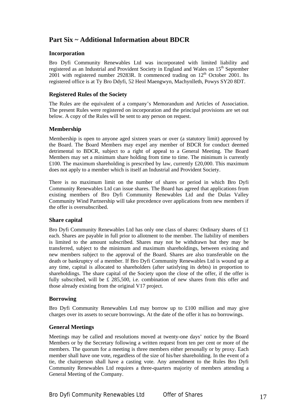# <span id="page-17-0"></span>**Part Six ~ Additional Information about BDCR**

## **Incorporation**

Bro Dyfi Community Renewables Ltd was incorporated with limited liability and registered as an Industrial and Provident Society in England and Wales on 15<sup>th</sup> September  $2001$  with registered number 29283R. It commenced trading on  $12<sup>th</sup>$  October 2001. Its registered office is at Ty Bro Ddyfi, 52 Heol Maengwyn, Machynlleth, Powys SY20 8DT.

## **Registered Rules of the Society**

The Rules are the equivalent of a company's Memorandum and Articles of Association. The present Rules were registered on incorporation and the principal provisions are set out below. A copy of the Rules will be sent to any person on request.

## **Membership**

Membership is open to anyone aged sixteen years or over (a statutory limit) approved by the Board. The Board Members may expel any member of BDCR for conduct deemed detrimental to BDCR, subject to a right of appeal to a General Meeting. The Board Members may set a minimum share holding from time to time. The minimum is currently £100. The maximum shareholding is prescribed by law, currently £20,000. This maximum does not apply to a member which is itself an Industrial and Provident Society.

There is no maximum limit on the number of shares or period in which Bro Dyfi Community Renewables Ltd can issue shares. The Board has agreed that applications from existing members of Bro Dyfi Community Renewables Ltd and the Dulas Valley Community Wind Partnership will take precedence over applications from new members if the offer is oversubscribed.

#### **Share capital**

Bro Dyfi Community Renewables Ltd has only one class of shares: Ordinary shares of £1 each. Shares are payable in full prior to allotment to the member. The liability of members is limited to the amount subscribed. Shares may not be withdrawn but they may be transferred, subject to the minimum and maximum shareholdings, between existing and new members subject to the approval of the Board. Shares are also transferable on the death or bankruptcy of a member. If Bro Dyfi Community Renewables Ltd is wound up at any time, capital is allocated to shareholders (after satisfying its debts) in proportion to shareholdings. The share capital of the Society upon the close of the offer, if the offer is fully subscribed, will be £ 285,500, i.e. combination of new shares from this offer and those already existing from the original V17 project.

#### **Borrowing**

Bro Dyfi Community Renewables Ltd may borrow up to £100 million and may give charges over its assets to secure borrowings. At the date of the offer it has no borrowings.

#### **General Meetings**

Meetings may be called and resolutions moved at twenty-one days' notice by the Board Members or by the Secretary following a written request from ten per cent or more of the members. The quorum for a meeting is three members either personally or by proxy. Each member shall have one vote, regardless of the size of his/her shareholding. In the event of a tie, the chairperson shall have a casting vote. Any amendment to the Rules Bro Dyfi Community Renewables Ltd requires a three-quarters majority of members attending a General Meeting of the Company.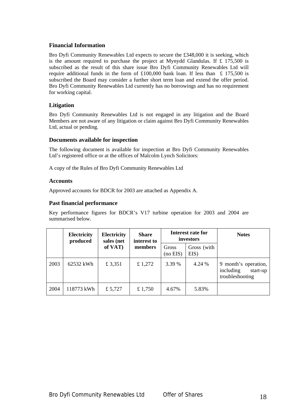## <span id="page-18-0"></span>**Financial Information**

Bro Dyfi Community Renewables Ltd expects to secure the £348,000 it is seeking, which is the amount required to purchase the project at Mynydd Glandulas. If £ 175,500 is subscribed as the result of this share issue Bro Dyfi Community Renewables Ltd will require additional funds in the form of £100,000 bank loan. If less than £ 175,500 is subscribed the Board may consider a further short term loan and extend the offer period. Bro Dyfi Community Renewables Ltd currently has no borrowings and has no requirement for working capital.

## **Litigation**

Bro Dyfi Community Renewables Ltd is not engaged in any litigation and the Board Members are not aware of any litigation or claim against Bro Dyfi Community Renewables Ltd, actual or pending.

## **Documents available for inspection**

The following document is available for inspection at Bro Dyfi Community Renewables Ltd's registered office or at the offices of Malcolm Lynch Solicitors:

A copy of the Rules of Bro Dyfi Community Renewables Ltd

## **Accounts**

Approved accounts for BDCR for 2003 are attached as Appendix A.

## **Past financial performance**

Key performance figures for BDCR's V17 turbine operation for 2003 and 2004 are summarised below.

|      | <b>Electricity</b><br>produced | Electricity<br><b>Share</b><br>sales (net<br>interest to |           |                        | Interest rate for<br>investors | <b>Notes</b>                                                     |
|------|--------------------------------|----------------------------------------------------------|-----------|------------------------|--------------------------------|------------------------------------------------------------------|
|      |                                | of VAT)                                                  | members   | Gross<br>$(no$ EIS $)$ | Gross (with<br>EIS)            |                                                                  |
| 2003 | 62532 kWh                      | £ 3,351                                                  | £ 1,272   | 3.39 %                 | 4.24 %                         | 9 month's operation,<br>including<br>start-up<br>troubleshooting |
| 2004 | 118773 kWh                     | £ $5,727$                                                | £ $1,750$ | 4.67%                  | 5.83%                          |                                                                  |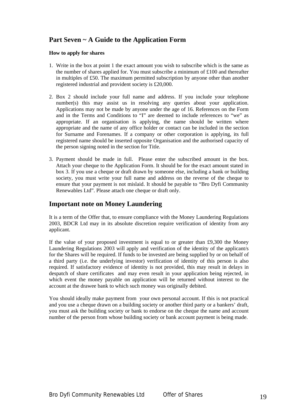# <span id="page-19-0"></span>**Part Seven ~ A Guide to the Application Form**

## **How to apply for shares**

- 1. Write in the box at point 1 the exact amount you wish to subscribe which is the same as the number of shares applied for. You must subscribe a minimum of £100 and thereafter in multiples of £50. The maximum permitted subscription by anyone other than another registered industrial and provident society is £20,000.
- 2. Box 2 should include your full name and address. If you include your telephone number(s) this may assist us in resolving any queries about your application. Applications may not be made by anyone under the age of 16. References on the Form and in the Terms and Conditions to "I" are deemed to include references to "we" as appropriate. If an organisation is applying, the name should be written where appropriate and the name of any office holder or contact can be included in the section for Surname and Forenames. If a company or other corporation is applying, its full registered name should be inserted opposite Organisation and the authorised capacity of the person signing noted in the section for Title.
- 3. Payment should be made in full. Please enter the subscribed amount in the box. Attach your cheque to the Application Form. It should be for the exact amount stated in box 3. If you use a cheque or draft drawn by someone else, including a bank or building society, you must write your full name and address on the reverse of the cheque to ensure that your payment is not mislaid. It should be payable to "Bro Dyfi Community Renewables Ltd". Please attach one cheque or draft only.

# **Important note on Money Laundering**

It is a term of the Offer that, to ensure compliance with the Money Laundering Regulations 2003, BDCR Ltd may in its absolute discretion require verification of identity from any applicant.

If the value of your proposed investment is equal to or greater than £9,300 the Money Laundering Regulations 2003 will apply and verification of the identity of the applicant/s for the Shares will be required. If funds to be invested are being supplied by or on behalf of a third party (i.e. the underlying investor) verification of identity of this person is also required. If satisfactory evidence of identity is not provided, this may result in delays in despatch of share certificates and may even result in your application being rejected, in which event the money payable on application will be returned without interest to the account at the drawee bank to which such money was originally debited.

You should ideally make payment from your own personal account. If this is not practical and you use a cheque drawn on a building society or another third party or a bankers' draft, you must ask the building society or bank to endorse on the cheque the name and account number of the person from whose building society or bank account payment is being made.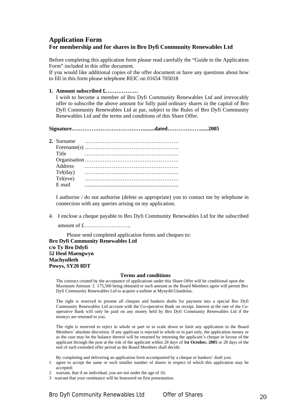# <span id="page-20-0"></span>**Application Form For membership and for shares in Bro Dyfi Community Renewables Ltd**

Before completing this application form please read carefully the "Guide to the Application Form" included in this offer document.

If you would like additional copies of the offer document or have any questions about how to fill in this form please telephone REIC on 01654 705018

#### **1. Amount subscribed £………………**

I wish to become a member of Bro Dyfi Community Renewables Ltd and irrevocably offer to subscribe the above amount for fully paid ordinary shares in the capital of Bro Dyfi Community Renewables Ltd at par, subject to the Rules of Bro Dyfi Community Renewables Ltd and the terms and conditions of this Share Offer.

**Signature………………………………….........dated………………......2005** 

| 2. Surname        |  |  |  |  |  |  |  |  |  |  |  |  |
|-------------------|--|--|--|--|--|--|--|--|--|--|--|--|
|                   |  |  |  |  |  |  |  |  |  |  |  |  |
| Title             |  |  |  |  |  |  |  |  |  |  |  |  |
|                   |  |  |  |  |  |  |  |  |  |  |  |  |
| <b>Address</b>    |  |  |  |  |  |  |  |  |  |  |  |  |
| $Tel(\text{day})$ |  |  |  |  |  |  |  |  |  |  |  |  |
| Tel(eve)          |  |  |  |  |  |  |  |  |  |  |  |  |
| E mail            |  |  |  |  |  |  |  |  |  |  |  |  |
|                   |  |  |  |  |  |  |  |  |  |  |  |  |

I authorise / do not authorise (delete as appropriate) you to contact me by telephone in connection with any queries arising on my application.

4. I enclose a cheque payable to Bro Dyfi Community Renewables Ltd for the subscribed

amount of £……………………..

Please send completed application forms and cheques to: **Bro Dyfi Community Renewables Ltd c/o Ty Bro Ddyfi 52 Heol Maengwyn Machynlleth Powys, SY20 8DT** 

#### **Terms and conditions**

The contract created by the acceptance of applications under this Share Offer will be conditional upon the Maximum Amount  $\pounds$  175,500 being obtained or such amount as the Board Members agree will permit Bro Dyfi Community Renewables Ltd to acquire a turbine at Mynydd Glandulas.

The right is reserved to present all cheques and bankers drafts for payment into a special Bro Dyfi Community Renewables Ltd account with the Co-operative Bank on receipt. Interest at the rate of the Cooperative Bank will only be paid on any money held by Bro Dyfi Community Renewables Ltd if the moneys are returned to you.

The right is reserved to reject in whole or part or to scale down or limit any application in the Board Members' absolute discretion. If any applicant is rejected in whole or in part only, the application money or as the case may be the balance thereof will be returned by returning the applicant's cheque in favour of the applicant through the post at the risk of the applicant within 28 days of **1st October, 2005** or 28 days of the end of such extended offer period as the Board Members shall decide.

By completing and delivering an application form accompanied by a cheque or bankers' draft you:

- 1 agree to accept the same or such smaller number of shares in respect of which this application may be accepted;
- 2 warrant, that if an individual, you are not under the age of 16;
- 3 warrant that your remittance will be honoured on first presentation.

Bro Dyfi Community Renewables Ltd Offer of Shares 20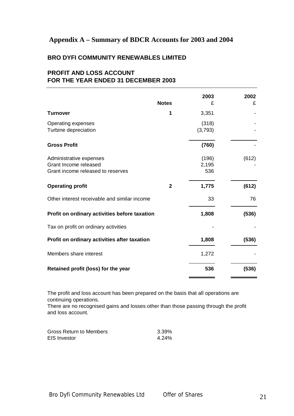# <span id="page-21-0"></span>**Appendix A – Summary of BDCR Accounts for 2003 and 2004**

# **BRO DYFI COMMUNITY RENEWABLES LIMITED**

# **PROFIT AND LOSS ACCOUNT FOR THE YEAR ENDED 31 DECEMBER 2003**

|                                                                                       | <b>Notes</b> | 2003<br>£             | 2002<br>£ |
|---------------------------------------------------------------------------------------|--------------|-----------------------|-----------|
| <b>Turnover</b>                                                                       | 1            | 3,351                 |           |
| Operating expenses<br>Turbine depreciation                                            |              | (318)<br>(3,793)      |           |
| <b>Gross Profit</b>                                                                   |              | (760)                 |           |
| Administrative expenses<br>Grant Income released<br>Grant income released to reserves |              | (196)<br>2,195<br>536 | (612)     |
| <b>Operating profit</b>                                                               | $\mathbf{2}$ | 1,775                 | (612)     |
| Other interest receivable and similar income                                          |              | 33                    | 76        |
| Profit on ordinary activities before taxation                                         |              | 1,808                 | (536)     |
| Tax on profit on ordinary activities                                                  |              |                       |           |
| Profit on ordinary activities after taxation                                          |              | 1,808                 | (536)     |
| Members share interest                                                                |              | 1,272                 |           |
| Retained profit (loss) for the year                                                   |              | 536                   | (536)     |

The profit and loss account has been prepared on the basis that all operations are continuing operations.

There are no recognised gains and losses other than those passing through the profit and loss account.

| Gross Return to Members | 3.39% |
|-------------------------|-------|
| EIS Investor            | 4.24% |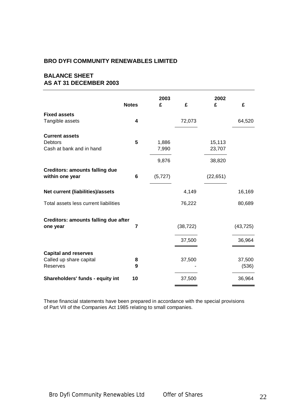## **BRO DYFI COMMUNITY RENEWABLES LIMITED**

# **BALANCE SHEET AS AT 31 DECEMBER 2003**

|                                                                    | <b>Notes</b>            | 2003<br>£      | £         | 2002<br>£        | £               |
|--------------------------------------------------------------------|-------------------------|----------------|-----------|------------------|-----------------|
| <b>Fixed assets</b>                                                |                         |                |           |                  |                 |
| Tangible assets                                                    | $\overline{\mathbf{4}}$ |                | 72,073    |                  | 64,520          |
| <b>Current assets</b><br>Debtors<br>Cash at bank and in hand       | 5                       | 1,886<br>7,990 |           | 15,113<br>23,707 |                 |
|                                                                    |                         | 9,876          |           | 38,820           |                 |
| <b>Creditors: amounts falling due</b><br>within one year           | 6                       | (5, 727)       |           | (22, 651)        |                 |
| Net current (liabilities)/assets                                   |                         |                | 4,149     |                  | 16,169          |
| Total assets less current liabilities                              |                         |                | 76,222    |                  | 80,689          |
| Creditors: amounts falling due after<br>one year                   | 7                       |                | (38, 722) |                  | (43, 725)       |
|                                                                    |                         |                | 37,500    |                  | 36,964          |
| <b>Capital and reserves</b><br>Called up share capital<br>Reserves | 8<br>9                  |                | 37,500    |                  | 37,500<br>(536) |
| Shareholders' funds - equity int                                   | 10                      |                | 37,500    |                  | 36,964          |

These financial statements have been prepared in accordance with the special provisions of Part VII of the Companies Act 1985 relating to small companies.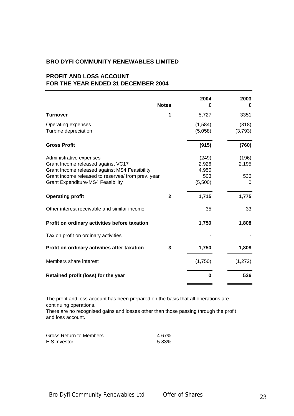## **BRO DYFI COMMUNITY RENEWABLES LIMITED**

# **PROFIT AND LOSS ACCOUNT FOR THE YEAR ENDED 31 DECEMBER 2004**

|                                                                                                                                                                                                                  | <b>Notes</b> | 2004<br>£                                 | 2003<br>£                  |
|------------------------------------------------------------------------------------------------------------------------------------------------------------------------------------------------------------------|--------------|-------------------------------------------|----------------------------|
| <b>Turnover</b>                                                                                                                                                                                                  | 1            | 5,727                                     | 3351                       |
| Operating expenses<br>Turbine depreciation                                                                                                                                                                       |              | (1,584)<br>(5,058)                        | (318)<br>(3,793)           |
| <b>Gross Profit</b>                                                                                                                                                                                              |              | (915)                                     | (760)                      |
| Administrative expenses<br>Grant Income released against VC17<br>Grant Income released against MS4 Feasibility<br>Grant income released to reserves/ from prev. year<br><b>Grant Expenditure-MS4 Feasibility</b> |              | (249)<br>2,926<br>4,950<br>503<br>(5,500) | (196)<br>2,195<br>536<br>0 |
| <b>Operating profit</b>                                                                                                                                                                                          | $\mathbf{2}$ | 1,715                                     | 1,775                      |
| Other interest receivable and similar income                                                                                                                                                                     |              | 35                                        | 33                         |
| Profit on ordinary activities before taxation                                                                                                                                                                    |              | 1,750                                     | 1,808                      |
| Tax on profit on ordinary activities                                                                                                                                                                             |              |                                           |                            |
| Profit on ordinary activities after taxation                                                                                                                                                                     | 3            | 1,750                                     | 1,808                      |
| Members share interest                                                                                                                                                                                           |              | (1,750)                                   | (1,272)                    |
| Retained profit (loss) for the year                                                                                                                                                                              |              | $\bf{0}$                                  | 536                        |

The profit and loss account has been prepared on the basis that all operations are continuing operations.

There are no recognised gains and losses other than those passing through the profit and loss account.

| Gross Return to Members | 4.67% |
|-------------------------|-------|
| <b>EIS Investor</b>     | 5.83% |